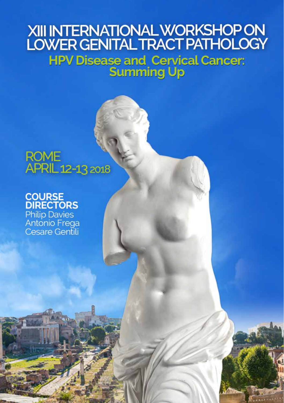# XIII INTERNATIONAL WORKSHOP ON

**HPV Disease and Cervical Cancer:<br>Summing Up** 

# **ROME** APRIL 12-13 2018

**COURSE<br>DIRECTORS** Philip Davies<br>Antonio Frega **Cesare Gentili**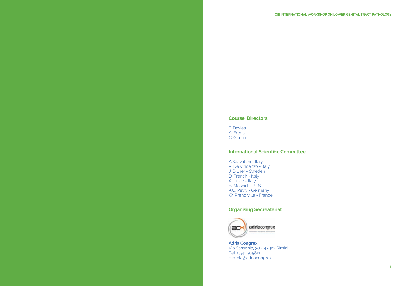#### **Course Directors**

P. Davies A. Frega C. Gentili

#### **International Scientific Committee**

A. Ciavattini - Italy R. De Vincenzo - Italy J. Dillner - Sweden D. French - Italy A. Lukic - Italy B. Moscicki - U.S. K.U. Petry - Germany W. Prendiville - France

#### **Organising Secreatariat**



**Adria Congrex** Via Sassonia, 30 - 47922 Rimini Tel. 0541 305811 c.imola@adriacongrex.it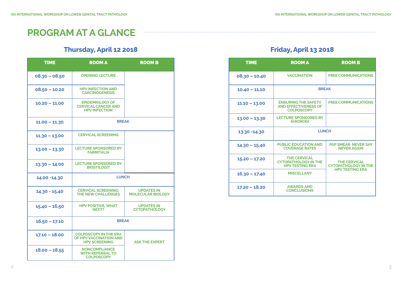# **PROGRAM AT A GLANCE**

## **Thursday, April 12 2018**

| <b>TIME</b>     | <b>ROOM A</b>                                                                  | <b>ROOM B</b>                                 |
|-----------------|--------------------------------------------------------------------------------|-----------------------------------------------|
| $08.30 - 08.50$ | <b>OPENING LECTURE</b>                                                         |                                               |
| $08.50 - 10.20$ | <b>HPV INFECTION AND</b><br><b>CARCINOGENESIS</b>                              |                                               |
| $10.20 - 11.00$ | <b>EPIDEMIOLOGY OF</b><br><b>CERVICAL CANCER AND</b><br><b>HPV INFECTION</b>   |                                               |
| $11.00 - 11.30$ | <b>BREAK</b>                                                                   |                                               |
| $11.30 - 13.00$ | <b>CERVICAL SCREENING</b>                                                      |                                               |
| $13.00 - 13.30$ | <b>LECTURE SPONSORED BY</b><br><b>FARMITALIA</b>                               |                                               |
| $13.30 - 14.00$ | <b>LECTURE SPONSORED BY</b><br><b>BIOSTILOGIT</b>                              |                                               |
| 14.00 - 14.30   | <b>LUNCH</b>                                                                   |                                               |
| 14.30 - 15.40   | <b>CERVICAL SCREENING:</b><br><b>THE NEW CHALLENGES</b>                        | <b>UPDATES IN</b><br><b>MOLECULAR BIOLOGY</b> |
| $15.40 - 16.50$ | <b>HPV POSITIVE, WHAT</b><br>NEXT?                                             | <b>UPDATES IN</b><br><b>CYTOPATHOLOGY</b>     |
| $16.50 - 17.10$ | <b>BREAK</b>                                                                   |                                               |
| $17.10 - 18.00$ | <b>COLPOSCOPY IN THE ERA</b><br>OF HPV VACCINATION AND<br><b>HPV SCREENING</b> | <b>ASK THE EXPERT</b>                         |
| $18.00 - 18.55$ | <b>NONCOMPLIANCE</b><br><b>WITH REFERRAL TO</b><br><b>COLPOSCOPY</b>           |                                               |

## **Friday, April 13 2018**

| <b>TIME</b>     | <b>ROOM A</b>                                                                  | <b>ROOM B</b>                                      |  |
|-----------------|--------------------------------------------------------------------------------|----------------------------------------------------|--|
| $08.30 - 10.40$ | <b>VACCINATION</b>                                                             | <b>FREE COMMUNICATIONS</b>                         |  |
| $10.40 - 11.10$ | <b>BREAK</b>                                                                   |                                                    |  |
| $11.10 - 13.00$ | <b>ENSURING THE SAFETY</b><br><b>AND EFFECTIVENESS OF</b><br><b>COLPOSCOPY</b> | <b>FREE COMMUNICATIONS</b>                         |  |
| $13.00 - 13.30$ | <b>LECTURE SPONSORED BY</b><br><b>SHIONOGI</b>                                 |                                                    |  |
| 13.30 -14.30    | <b>LUNCH</b>                                                                   |                                                    |  |
| 14.30 - 15.40   | <b>PUBLIC EDUCATION AND</b><br><b>COVERAGE RATES</b>                           | <b>PAP SMEAR: NEVER SAY</b><br><b>NEVER AGAIN</b>  |  |
| $15.20 - 17.20$ | <b>THE CERVICAL</b><br><b>CYTOPATHOLOGY IN THE</b><br><b>HPV TESTING ERA</b>   | <b>THE CERVICAL</b><br><b>CYTOPATHOLOGY IN THE</b> |  |
| $16.30 - 17.40$ | <b>MISCELLANY</b>                                                              | <b>HPV TESTING ERA</b>                             |  |
| 17.20 - 18.20   | <b>AWARDS AND</b><br><b>CONCLUSIONS</b>                                        |                                                    |  |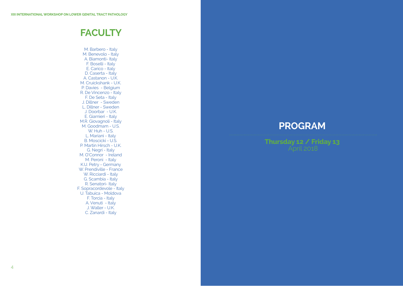# **FACULTY**

M. Barbero - Italy M. Benevolo - Italy A. Biamonti- Italy F. Boselli - Italy E. Carico - Italy D. Caserta - Italy A. Castanon - U.K. M. Cruickshank - U.K. P. Davies - Belgium R. De Vincenzo - Italy F. De Seta - Italy J. Dillner - Sweden L. Dillner - Sweden J. Doorbar - U.K. E. Giarnieri - Italy M.R. Giovagnoli - Italy M. Goodmam - U.S. W. Huh - U.S. L. Mariani - Italy B. Moscicki - U.S. P. Martin Hirsch - U.K. G. Negri - Italy M. O'Connor - Ireland M. Peroni - Italy K.U. Petry - Germany W. Prendiville - France W. Ricciardi - Italy G. Scambia - Italy R. Senatori- Italy F. Sopracordevole - Italy U. Tabuica - Moldova F. Torcia - Italy A. Venuti - Italy J. Waller - U.K. C. Zanardi - Italy

# **PROGRAM**

# **Thursday 12 / Friday 13**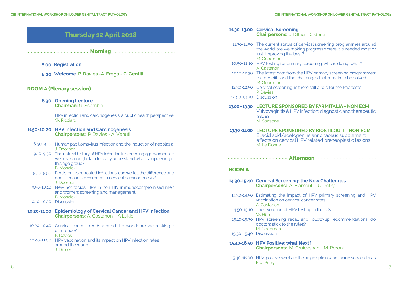| Thursday 12 April 2018 |  |  |
|------------------------|--|--|
|                        |  |  |

**Morning**

#### **Registration 8.00**

**Welcome P. Davies.-A. Frega - C. Gentili 8.20**

#### **ROOM A (Plenary session)**

**Opening Lecture 8.30 Chairman:** G. Scambia

> HPV infection and carcinogenesis: a public health perspective. W. Ricciardi

#### **HPV infection and Carcinogenesis 8.50-10.20 Chairpersons:** P. Davies - A. Venuti

- 8.50-9.10 Human papillomavirus infection and the induction of neoplasia. J. Doorbar
- 9.10-9.30 The natural history of HPV infection in screening age women: do we have enough data to really understand what is happening in this age group? B. Moscicki
- 9.30-9.50 Persistent vs repeated infections: can we tell the difference and does it make a difference to cervical carcinogenesis? J. Doorbar
- 9.50-10.10 New hot topics. HPV in non HIV immunocompromised men and women: screening and manegement. B. Moscicki
- 10.10-10.20 Discussion
- **Epidemiology of Cervical Cancer and HPV Infection 10.20-11.00 Chairpersons:** A. Castanon – A.Lukic
- 10.20-10.40 Cervical cancer trends around the world: are we making a difference? P. Davies
- 10.40-11.00 HPV vaccination and its impact on HPV infection rates around the world. J. Dillner

#### **Cervical Screening 11.30-13.00 Chairpersons:** J. Dillner - C. Gentili

- 11.30-11.50 The current status of cervical screening programmes around the world: are we making progress where it is needed most or just improving the best? M. Goodman
- 10.50-12.10 HPV testing for primary screening: who is doing what? A. Castanon
- 12.10-12.30 The latest data from the HPV primary screening programmes: the benefits and the challenges that remain to be solved. M. Goodman
- 12.30-12.50 Cervical screening: is there still a role for the Pap test? P. Davies
- 12.50-13.00 Discussion

#### **LECTURE SPONSORED BY FARMITALIA - NON ECM 13.00 - 13.30**

Vulvovaginitis & HPV infection: diagnostic and therapeutic  $i$ ssues  $i$ M. Sansone

**LECTURE SPONSORED BY BIOSTILOGIT - NON ECM 13.30 -14.00** Ellacid acid/acetogenins annonaceus supplement: effects on cervical HPV related preneoplastic lesions M. Le Donne

**Afternoon**

#### **ROOM A**

#### **Cervical Screening: the New Challenges 14.30-15.40 Chairpersons:** A. Biamonti - U. Petry

- 14.30-14.50 Estimating the impact of HPV primary screening and HPV vaccination on cervical cancer rates. A. Castanon
- 14.50-15.10 The evolution of HPV testing in the U.S W. Huh
- 15.10-15.30 HPV screening recall and follow-up recommendations: do doctors stick to the rules? M. Goodman
- 15.30-15.40 Discussion
- **HPV Positive: what Next? 15.40-16.50 Chairpersons:** M. Cruickshan - M. Peroni
- 15.40-16.00 HPV positive: what are the triage options and their associated risks K.U. Petry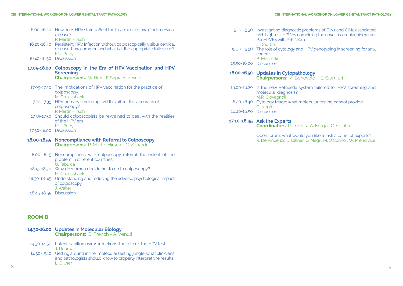|                        | 16.00-16.20 How does HPV status affect the treatment of low-grade cervical<br>disease?                                                                 |
|------------------------|--------------------------------------------------------------------------------------------------------------------------------------------------------|
| 16.20-16.40            | P. Martin Hirsch<br>Persistent HPV Infection without colposcopically visible cervical<br>disease: how common and what is it the appropriate follow-up? |
| 16.40-16.50            | K.U. Petry<br><b>Discussion</b>                                                                                                                        |
|                        | 17.05-18.00 Colposcopy in the Era of HPV Vaccination and HPV<br><b>Screening</b>                                                                       |
|                        | <b>Chairpersons: W. Huh - F. Sopracordevole</b>                                                                                                        |
| 17.05-17.20            | The implications of HPV vaccination for the practice of<br>colposcopy.<br>M. Cruickshank                                                               |
| 17.20-17.35            | HPV primary screening: will this affect the accuracy of<br>colposcopy?<br>P. Martin Hirsch                                                             |
|                        | 17.35-17.50 Should colposcopists be re-trained to deal with the realities<br>of the HPV era                                                            |
| 17.50-18.00 Discussion | K.U. Petry                                                                                                                                             |
|                        | 18.00-18.55 Noncompliance with Referral to Colposcopy<br><b>Chairpersons: P. Martin Hirsch - C. Zanardi</b>                                            |
| 18.00-18.15            | Noncompliance with colposcopy referral: the extent of the<br>problem in different countries.<br>U. Tabuica                                             |
|                        | 18.15-18.30 Why do women decide not to go to colposcopy?<br>M. Cruickshank.                                                                            |
|                        | 18.30-18-45 Understanding and reducing the adverse psychological impact<br>of colposcopy                                                               |

| ۰.<br>×.<br>۰, | ۰.<br>×<br>۰, |  |
|----------------|---------------|--|
|                |               |  |

| 14.30-16.00 Updates in Molecular Biology<br><b>Chairpersons:</b> D. French - A. Venuti                                                                                                                                        |  |
|-------------------------------------------------------------------------------------------------------------------------------------------------------------------------------------------------------------------------------|--|
| the second contact the state of the contact of the second contact of the second contact of the second second second second and the second second second second second second second second second second second second second |  |

J. Waller

18.45-18.55 Discussion

| 14.30-14.50 Latent papillomavirus infections: the role of the HPV test.     |
|-----------------------------------------------------------------------------|
| J. Doorbar                                                                  |
| 14.50-15.10 Getting around in the molecular testing jungle: what clinicians |

8 9 and pathologists should know to properly interpret the results. L. Dillner 14.50-15.1

|                        | 15.10-15.30 Investigating diagnostic problems of CIN1 and CIN2 associated<br>with high-risk HPV by combining the novel molecular biomarker<br>PanHPVE4 with P16INK4a.<br>J. Doorbar<br>15.30-15.50 The role of cytology and HPV genotyping in screening for anal<br>cancer.<br><b>B. Moscicki</b> |
|------------------------|---------------------------------------------------------------------------------------------------------------------------------------------------------------------------------------------------------------------------------------------------------------------------------------------------|
| 15.50-16.00 Discussion |                                                                                                                                                                                                                                                                                                   |
|                        | 16.00-16.50 Updates in Cytopathology<br><b>Chairpersons:</b> M. Benevolo - E. Giarnieri                                                                                                                                                                                                           |
|                        | 16.00-16.20 Is the new Bethesda system tailored for HPV screening and<br>molecular diagnosis?<br>M.R. Giovagnoli                                                                                                                                                                                  |
|                        | 16.20-16.40 Cytology triage: what molecular testing cannot provide.<br>G. Negri                                                                                                                                                                                                                   |
| 16.40-16.50 Discussion |                                                                                                                                                                                                                                                                                                   |
|                        | 17.10-18.45 Ask the Experts<br><b>Coordinators:</b> P. Davies- A. Frega- C. Gentili                                                                                                                                                                                                               |

Open forum: what would you like to ask a panel of experts? R. De Vincenzo, J. Dillner, G. Negri, M. O'Connor, W. Prendiville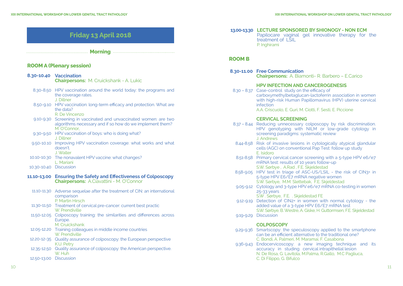## **Friday 13 April 2018**

**Morning**

#### **ROOM A (Plenary session)**

| 8.30-10.40    Vaccination | <b>Chairpersons: M. Cruickshank - A. Lukic</b> |  |
|---------------------------|------------------------------------------------|--|
|                           |                                                |  |

- 8.30-8.50 HPV vaccination around the world today: the programs and the coverage rates. J. Dillner
- 8.50-9.10 HPV vaccination: long-term efficacy and protection. What are the data? R. De Vincenzo
- 9.10-9.30 Screening in vaccinated and unvaccinated women: are two algorithms necessary and if so how do we implement them? M. O'Connor
- 9.30-9.50 HPV vaccination of boys: who is doing what? J. Dillner
- 9.50-10.10 Improving HPV vaccination coverage: what works and what doesn't. J. Waller
- 10.10-10.30 The nonavalent HPV vaccine: what changes? L. Mariani
- 10.30-10.40 Discussion
- **Ensuring the Safety and Effectiveness of Colposcopy 11.10-13.00 Chairpersons:** A.Ciavattini - M. O'Connor
- 11.10-11.30 Adverse sequelae after the treatment of CIN: an international comparison P. Martin Hirsch
- 11.30-11.50 Treatment of cervical pre-cancer: current best practic W. Prendiville
- 11.50-12.05 Colposcopy training: the similarities and differences across Europe.
- M. Cruickshank 12.05-12.20 Training colleagues in middle income countries
- W. Prendiville 12.20-12-35 Quality assurance of colposcopy: the European perspective K.U. Petry
- 12.35-12.50 Quality assurance of colposcopy: the American perspective. W. Huh
- 12.50-13.00 Discussion

**LECTURE SPONSORED BY SHIONOGY - NON ECM 13.00-13.30** Papilocare vaginal gel innovative therapy for the treatment of LSIL P. Inghirami

#### **ROOM B**

**Free Communication 8.30-11.00 Chairpersons:** A. Biamonti- R. Barbero – E.Carico

#### **HPV INFECTION AND CANCEROGENESIS**

8.30 - 8.37 Case-control study on the efficacy of carboxymethylbetaglucan-lactoferrin association in women with high-risk Human Papillomavirus (HPV) uterine cervical infection A.A. Criscuolo, E. Guri, M. Ciotti, F. Sesti, E. Piccione

#### **CERVICAL SCREENING**

- 8.37 8.44 Reducing unnecessary colposcopy by risk discrimination. HPV genotyping with NILM or low-grade cytology in screening paradigms: systematic review J. Andrews
- 8.44-8.58 Risk of invasive lesions in cytologically atypical glandular cells (AGC) on conventional Pap Test: follow up study E. Isidoro
- 8.51-8.58 Primary cervical cancer screening with a 5-type HPV e6/e7<br>mRNA test: results of 10 years follow-up S.W. Sørbye , A.Rad , F.E. Skjeldestad
- 8.58-9.05 HPV test in triage of ASC-US/LSIL the risk of CIN3+ in 5-type HPV E6/ E7 mRNA negative women S.W. Sørbye, M.M. Slettebak, F.E. Skjeldestad
- 9.05-9.12 Cytology and 3-type HPV e6/e7 mRNA co-testing in women 25-33 years
	- S.W . Sørbye, F.E. . Skjeldestad FE
- 9.12-9.19 Detection of CIN2+ in women with normal cytology the added value of a 3-type HPV E6/E7 mRNA test S.W. Sørbye, B. Westre, A. Giske, H. Guttormsen, F.E. Skjeldestad
- 9.19-9.29 Discussion

#### **COLPOSCOPY**

- 9.29-9.36 Smartscopy: the speculoscopy applied to the smartphone can be an efficient alternative to the traditional one? C. Bondi, A. Palmeri, M. Maramai, F. Casabona
- 9.36-9.43 Endocervicoscopy: a new imaging technique and its accuracy in studing cervical intrapithelial lesion N. De Rosa, G. Lavitola, M.Palma, R.Gallo, M.C Pagliuca, C. Di Filippo, G. Bifulco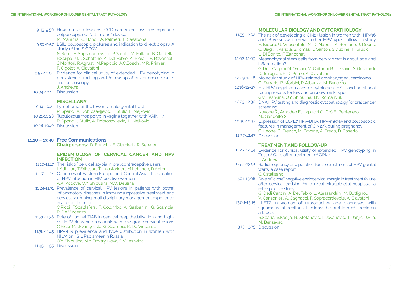- 9.43-9.50 How to use a low cost CCD camera for hysteroscopy and colposcopy: our "all-in-one" device M. Maramai, C. Bondi, A. Palmeri, F. Casabona
- 9.50-9.57 LSIL: colposcopic pictures and indication to direct biopsy. A study of the SICPCV M.Serri, F. Sopracordevole, P.Garutti, M. Fallani, B. Gardella, P.Scirpa, M.T. Schettino, A. Del Fabro, A. Pieralli, F. Ravennati, S.Montori, R.Agrusti, M.Papiccio, A.C.Boschi, M.R. Primieri,

F. Cigolot, A. Ciavattini

- 9.57-10.04 Evidence for clinical utility of extended HPV genotyping in persistence tracking and follow-up after abnormal results and colposcopy J. Andrews
- 10.04-10.14 Discussion

#### **MISCELLANY**

- 10.14-10.21 Lymphoma of the lower female genital tract R. Sparic, A. Dobrosavljevic, J. Stulic, L. Nejkovic 10.21-10.28 Tubulosquamos polyp in vagina together with VAIN II/III R. Sparić, J.Stulic, A. Dobrosavljevic, L. Nejkovic 10.28-1040 Discussion
- 

#### **Free Communications 11.10 – 13.30**

**Chairpersons:** D. French - E. Giarnieri - R. Senatori

#### **EPIDEMIOLOGY OF CERVICAL CANCER AND HPV INFECTION**

- 11.10-11.17 The risk of cervical atypia in oral contraceptive users I. Adhikari, T.Eriksson, T. Luostarinen, M.Lehtinen, D.Apter
- 11.17-11.24 Countries of Eastern Europe and Central Asia: the situation of HPV infection in HIV-positive women A.A. Popova, O.Y. Shipulina, M.O. Deulina
- 11.24-11.31 Prevalence of cervical HPV lesions in patients with bowel inflammatory diseases in immunosuppressive treatment and cervical screening: multidisciplinary management experience in a referral center

C.Ricci, F.Scaldaferri, F. Colombo, A. Gasbarrini, G. Scambia, R. De Vincenzo

- 11.31-11.38 Role of vaginal TIAB in cervical reepithelialisation and highrisk HPV clearance in patients with low-grade cervical lesions C.Ricci, M.T.Evangelista, G. Scambia, R. De Vincenzo
- 11.38-11.45 HPV-HR prevalence and type distribution in women with NILM or HSIL Pap smear in Russia. O.Y. Shipulina, M.Y. Dmitryukova, G.V.Leshkina
- 11.45-11.55 Discussion

#### **MOLECULAR BIOLOGY AND CYTOPATHOLOGY**

11.55-12.02 The risk of developing a CIN2+ lesion in women with HPV16 and 18, versus women with other HPV types: follow-up study E. Isidoro, U. Wiesenfeld, M. Di Napoli, A. Romano, J. Dobric, C. Biagi, F. Variola, S.Tomasi, D.Santon, S.Dudine, F. Giudici,

L. Di Bonito, F. Zanconati

12.02-12.09 Mesenchymal stem cells from cervix: what is about age and inflammation? G. Delli Carpini, M. Orciani, M. Caffarini, R. Lazzarini, S. Guizzardi,

D. Tsiroglou, R. Di Primo, A. Ciavattini

- 12.09-12.16 Molecular study of HPV-related oropharyngeal carcinoma G. Ferrario, P. Morbini, P. Alberizzi, M. Benazzo
- 12.16-12-23 HR-HPV negative cases of cytological HSIL and additional testing results for low and unknown risk types. G.V. Leshkina, O.Y. Shipulina, T.N. Romanyuk
- 12.23-12.30 DNA HPV testing and diagnostic cytopathology for oral cancer screening Navone R., Amodeo E., Lapucci C., Crò F., Pentenero M., Gandolfo S.
- 12.30-12.37 Expression of E6/E7 HPV-DNA, HPV-mRNA and colposcopic features in management of CIN2/3 during pregnancy C. Leone, D. French, M. Pavone, A. Frega, D. Caserta
- 12.37-12.47 Discussion

#### **TREATMENT AND FOLLOW-UP**

- 12.47-12.54 Evidence for clinical utility of extended HPV genotyping in Test of Cure after treatment of CIN2+ J. Andrews
- 12.54-13.01 Radiofrequency and poration for the treatment of HPV genital warts: a case report C. Catalisano
- 13.01-13.08 Role of "close" negative endocervical margin in treatment failure after cervical excision for cervical intraepithelial neoplasia: a retrospective study

G. Delli Carpini, A. Del Fabro, L. Alessandrini, M. Buttignol, V. Canzonieri, A. Cagnacci, F. Sopracordevole, A. Ciavattini

13.08-13.15 LLETZ in woman of reproductive age diagnosed with squamous intraepithelial lesions: the problem of specimen artifacts

R.Sparic, S.Kadija, R. Stefanovic, L.Jovanovic, T. Janjic, J.Bila, M. Berisavac

13.15-13.25 Discussion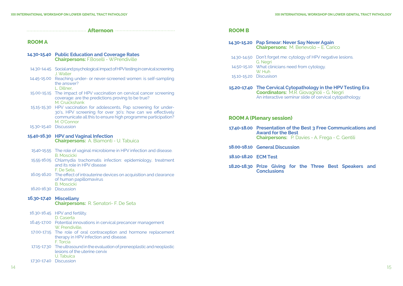| <b>ROOM A</b>          |                                                                                                                                                                                                                   |
|------------------------|-------------------------------------------------------------------------------------------------------------------------------------------------------------------------------------------------------------------|
|                        | 14.30-15.40 Public Education and Coverage Rates<br><b>Chairpersons: F.Boselli - W.Prendiville</b>                                                                                                                 |
|                        | 14.30-14.45 Social and psychological impact of HPV testing in cervical screening.<br>J. Waller                                                                                                                    |
|                        | 14.45-15.00 Reaching under- or never-screened women: is self-sampling<br>the answer?<br>L. Dillner.                                                                                                               |
|                        | 15.00-15.15 The impact of HPV vaccination on cervical cancer screening<br>coverage: are the predictions proving to be true?<br>M. Cruickshank                                                                     |
|                        | 15.15-15.30 HPV vaccination for adolescents, Pap screening for under-<br>30's, HPV screening for over 30's: how can we effectively<br>communicate all this to ensure high programme participation?<br>M. O'Connor |
| 15.30-15.40 Discussion |                                                                                                                                                                                                                   |
|                        | 15.40-16.30 HPV and Vaginal Infection                                                                                                                                                                             |
|                        | <b>Chairpersons:</b> A. Biamonti - U. Tabuica                                                                                                                                                                     |
|                        | 15.40-15.55 The role of vaginal microbiome in HPV infection and disease.                                                                                                                                          |
|                        | <b>B.</b> Moscicki<br>15.55-16.05 Chlamydia trachomatis infection: epidemiology, treatment<br>and its role in HPV disease                                                                                         |
|                        | F. De Seta.<br>16.05-16.20 The effect of intrauterine devices on acquisition and clearance<br>of human papillomavirus                                                                                             |
|                        | <b>B.</b> Moscicki<br>16.20-16.30 Discussion                                                                                                                                                                      |
|                        | 16.30-17.40 Miscellany<br><b>Chairpersons: R. Senatori- F. De Seta</b>                                                                                                                                            |
|                        | 16.30-16.45 HPV and fertility.<br>D. Caserta                                                                                                                                                                      |

- The role of oral contraception and hormone replacement therapy in HPV infection and disease. F. Torcia 17.00-17.15
- 17.15-17.30 The ultrasound in the evaluation of preneoplastic and neoplastic lesions of the uterine cervix U. Tabuica
- 17.30-17.40 Discussion

| 14.30-15.20 Pap Smear: Never Say Never Again<br><b>Chairpersons:</b> M. Benevolo - E. Carico                                                                                |
|-----------------------------------------------------------------------------------------------------------------------------------------------------------------------------|
| 14.30-14.50 Don't forget me: cytology of HPV negative lesions.<br>G. Negri                                                                                                  |
| 14.50-15.10 What clinicians need from cytology.<br>W. Huh                                                                                                                   |
| 15.10-15.20 Discusison                                                                                                                                                      |
| 15.20-17.40 The Cervical Cytopathology in the HPV Testing Era<br><b>Coordinators: M.R. Giovagnoli - G. Negri</b><br>An interactive seminar slide of cervical cytopathology. |

#### **ROOM A (Plenary session)**

| 17.40-18.00 Presentation of the Best 3 Free Communications and<br><b>Award for the Best</b> |                                                        |
|---------------------------------------------------------------------------------------------|--------------------------------------------------------|
|                                                                                             | <b>Chairpersons:</b> P. Davies - A. Frega - C. Gentili |

- 18.00-18.10 General Discussion
- **ECM Test 18.10-18.20**
- **Prize Giving for the Three Best Speakers and Conclusions 18.20-18.30**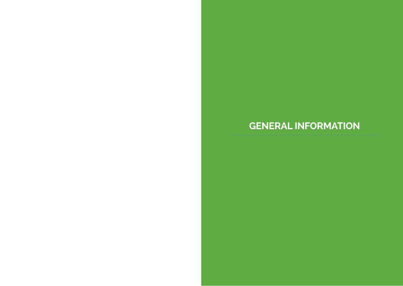# **GENERAL INFORMATION**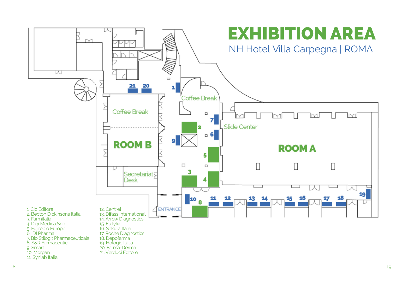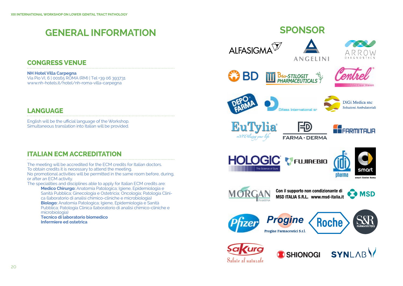# **GENERAL INFORMATION**

## **CONGRESS VENUE**

**NH Hotel Villa Carpegna** Via Pio VI, 6 | 00165 ROMA (RM) | Tel +39 06 393731 www.nh-hotels.it/hotel/nh-roma-villa-carpegna

## **LANGUAGE**

English will be the ufficial language of the Workshop. Simultaneous translation into Italian will be provided.

## **ITALIAN ECM ACCREDITATION**

The meeting will be accredited for the ECM credits for Italian doctors. To obtain credits it is necessary to attend the meeting. No promotional activities will be permitted in the same room before, during, or after an ECM activity.

The specialities and disciplines able to apply for Italian ECM credits are:

**Medico Chirurgo:** Anatomia Patologica; Igiene, Epidemiologia e Sanità Pubblica; Ginecologia e Ostetricia; Oncologia; Patologia Clinica (laboratorio di analisi chimico-cliniche e microbiologia) **Biologo:** Anatomia Patologica; Igiene, Epidemiologia e Sanità Pubblica; Patologia Clinica (laboratorio di analisi chimico-cliniche e microbiologia)

**Tecnico di laboratorio biomedico Infermiere ed ostetrica**